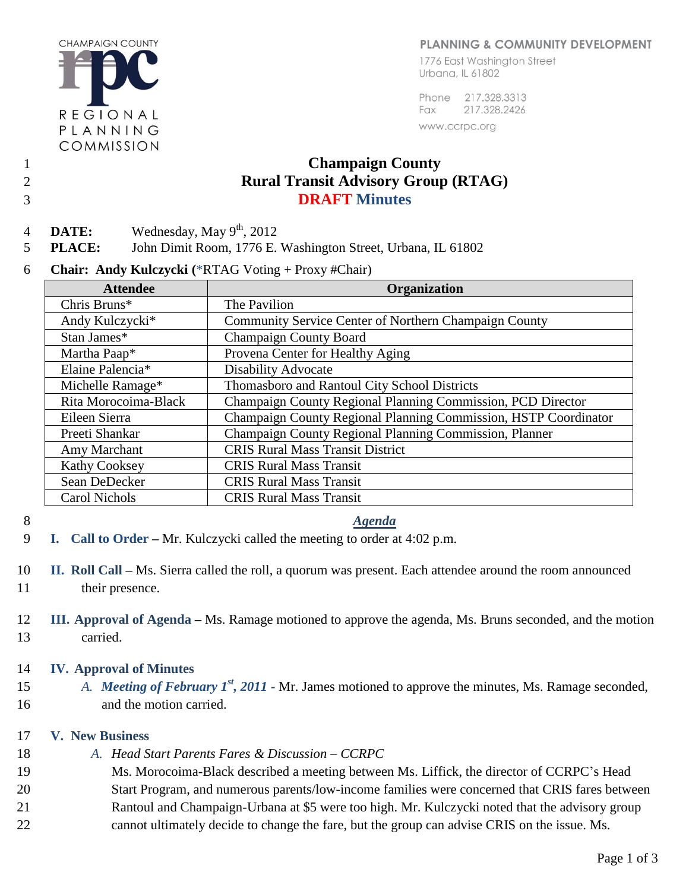#### PLANNING & COMMUNITY DEVELOPMENT

**CHAMPAIGN COUNTY** REGIONAL PLANNING COMMISSION

1776 East Washington Street Urbana, IL 61802

Phone 217.328.3313 217.328.2426 Fax www.ccrpc.org

# 1 **Champaign County**  2 **Rural Transit Advisory Group (RTAG)**  3 **DRAFT Minutes**

4 **DATE:** Wednesday, May  $9^{th}$ , 2012

5 **PLACE:** John Dimit Room, 1776 E. Washington Street, Urbana, IL 61802

6 **Chair: Andy Kulczycki (**\*RTAG Voting + Proxy #Chair)

| <b>Attendee</b>      | <b>Organization</b>                                             |
|----------------------|-----------------------------------------------------------------|
| Chris Bruns*         | The Pavilion                                                    |
| Andy Kulczycki*      | Community Service Center of Northern Champaign County           |
| Stan James*          | <b>Champaign County Board</b>                                   |
| Martha Paap*         | Provena Center for Healthy Aging                                |
| Elaine Palencia*     | <b>Disability Advocate</b>                                      |
| Michelle Ramage*     | Thomasboro and Rantoul City School Districts                    |
| Rita Morocoima-Black | Champaign County Regional Planning Commission, PCD Director     |
| Eileen Sierra        | Champaign County Regional Planning Commission, HSTP Coordinator |
| Preeti Shankar       | Champaign County Regional Planning Commission, Planner          |
| Amy Marchant         | <b>CRIS Rural Mass Transit District</b>                         |
| <b>Kathy Cooksey</b> | <b>CRIS Rural Mass Transit</b>                                  |
| Sean DeDecker        | <b>CRIS Rural Mass Transit</b>                                  |
| <b>Carol Nichols</b> | <b>CRIS Rural Mass Transit</b>                                  |

#### 8 *Agenda*

- 9 **I. Call to Order –** Mr. Kulczycki called the meeting to order at 4:02 p.m.
- 10 **II. Roll Call –** Ms. Sierra called the roll, a quorum was present. Each attendee around the room announced 11 their presence.
- 12 **III. Approval of Agenda –** Ms. Ramage motioned to approve the agenda, Ms. Bruns seconded, and the motion 13 carried.

# 14 **IV. Approval of Minutes**

15 *A. Meeting of February 1<sup>st</sup>*, 2011 - Mr. James motioned to approve the minutes, Ms. Ramage seconded, 16 and the motion carried.

# 17 **V. New Business**

- 18 *A. Head Start Parents Fares & Discussion – CCRPC*
- 19 Ms. Morocoima-Black described a meeting between Ms. Liffick, the director of CCRPC's Head
- 20 Start Program, and numerous parents/low-income families were concerned that CRIS fares between
- 21 Rantoul and Champaign-Urbana at \$5 were too high. Mr. Kulczycki noted that the advisory group
- 22 cannot ultimately decide to change the fare, but the group can advise CRIS on the issue. Ms.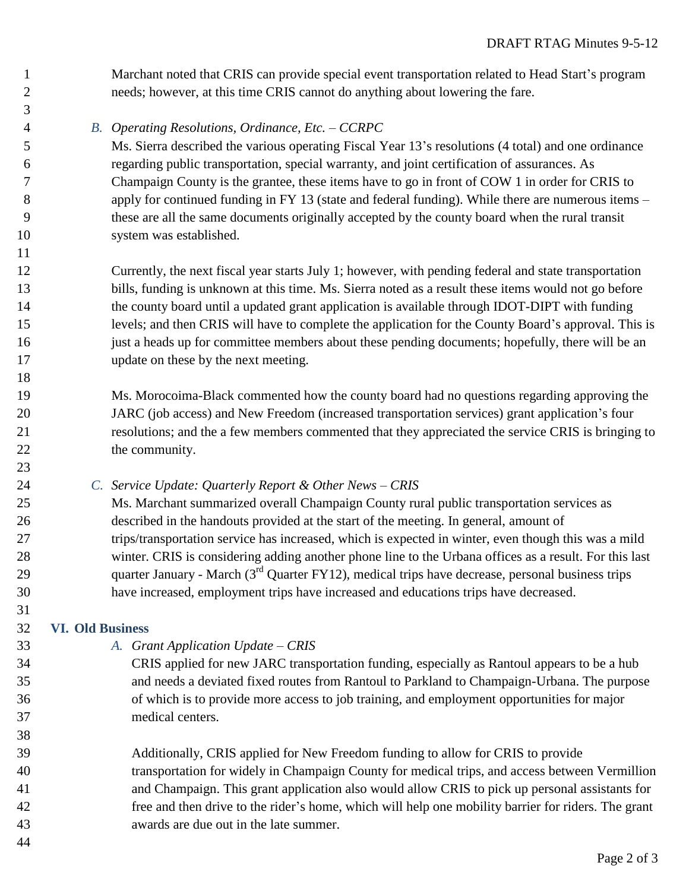Marchant noted that CRIS can provide special event transportation related to Head Start's program needs; however, at this time CRIS cannot do anything about lowering the fare.

*B. Operating Resolutions, Ordinance, Etc. – CCRPC*

 Ms. Sierra described the various operating Fiscal Year 13's resolutions (4 total) and one ordinance regarding public transportation, special warranty, and joint certification of assurances. As Champaign County is the grantee, these items have to go in front of COW 1 in order for CRIS to apply for continued funding in FY 13 (state and federal funding). While there are numerous items – these are all the same documents originally accepted by the county board when the rural transit system was established.

 Currently, the next fiscal year starts July 1; however, with pending federal and state transportation bills, funding is unknown at this time. Ms. Sierra noted as a result these items would not go before the county board until a updated grant application is available through IDOT-DIPT with funding levels; and then CRIS will have to complete the application for the County Board's approval. This is just a heads up for committee members about these pending documents; hopefully, there will be an update on these by the next meeting.

 Ms. Morocoima-Black commented how the county board had no questions regarding approving the JARC (job access) and New Freedom (increased transportation services) grant application's four resolutions; and the a few members commented that they appreciated the service CRIS is bringing to 22 the community.

*C. Service Update: Quarterly Report & Other News – CRIS*

 Ms. Marchant summarized overall Champaign County rural public transportation services as described in the handouts provided at the start of the meeting. In general, amount of trips/transportation service has increased, which is expected in winter, even though this was a mild winter. CRIS is considering adding another phone line to the Urbana offices as a result. For this last 29 quarter January - March  $(3<sup>rd</sup>$  Quarter FY12), medical trips have decrease, personal business trips have increased, employment trips have increased and educations trips have decreased.

# **VI. Old Business**

- *A. Grant Application Update – CRIS*
- CRIS applied for new JARC transportation funding, especially as Rantoul appears to be a hub and needs a deviated fixed routes from Rantoul to Parkland to Champaign-Urbana. The purpose of which is to provide more access to job training, and employment opportunities for major medical centers.
- Additionally, CRIS applied for New Freedom funding to allow for CRIS to provide transportation for widely in Champaign County for medical trips, and access between Vermillion and Champaign. This grant application also would allow CRIS to pick up personal assistants for free and then drive to the rider's home, which will help one mobility barrier for riders. The grant awards are due out in the late summer.